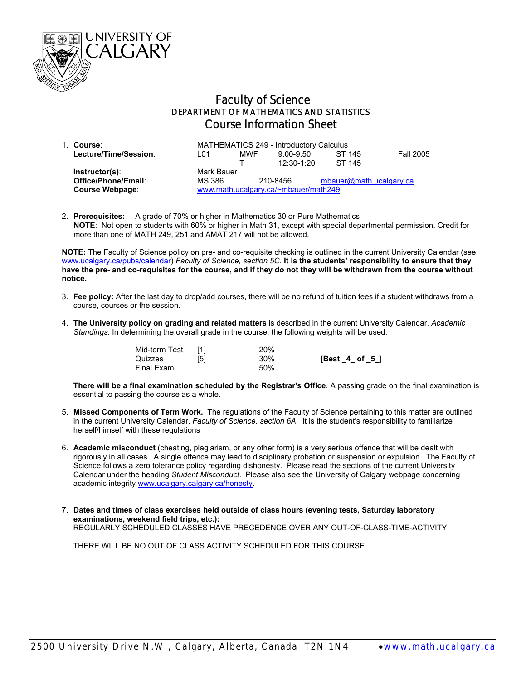

## Faculty of Science DEPARTMENT OF MATHEMATICS AND STATISTICS Course Information Sheet

| 1. Course:             | MATHEMATICS 249 - Introductory Calculus |            |              |                         |                  |
|------------------------|-----------------------------------------|------------|--------------|-------------------------|------------------|
| Lecture/Time/Session:  | L01                                     | <b>MWF</b> | $9:00-9:50$  | ST 145                  | <b>Fall 2005</b> |
|                        |                                         |            | $12:30-1:20$ | ST 145                  |                  |
| $Instructor(s)$ :      | Mark Bauer                              |            |              |                         |                  |
| Office/Phone/Email:    | MS 386                                  |            | 210-8456     | mbauer@math.ucalgary.ca |                  |
| <b>Course Webpage:</b> | www.math.ucalgary.ca/~mbauer/math249    |            |              |                         |                  |

2. **Prerequisites:** A grade of 70% or higher in Mathematics 30 or Pure Mathematics  **NOTE**: Not open to students with 60% or higher in Math 31, except with special departmental permission. Credit for more than one of MATH 249, 251 and AMAT 217 will not be allowed.

**NOTE:** The Faculty of Science policy on pre- and co-requisite checking is outlined in the current University Calendar (see www.ucalgary.ca/pubs/calendar) *Faculty of Science, section 5C*. **It is the students' responsibility to ensure that they have the pre- and co-requisites for the course, and if they do not they will be withdrawn from the course without notice.** 

- 3. **Fee policy:** After the last day to drop/add courses, there will be no refund of tuition fees if a student withdraws from a course, courses or the session.
- 4. **The University policy on grading and related matters** is described in the current University Calendar, *Academic Standings*. In determining the overall grade in the course, the following weights will be used:

| Mid-term Test |     | 20% |                  |
|---------------|-----|-----|------------------|
| Quizzes       | [5] | 30% | $[Best_4_ of_5]$ |
| Final Exam    |     | 50% |                  |

**There will be a final examination scheduled by the Registrar's Office**. A passing grade on the final examination is essential to passing the course as a whole.

- 5. **Missed Components of Term Work.** The regulations of the Faculty of Science pertaining to this matter are outlined in the current University Calendar, *Faculty of Science, section 6A*. It is the student's responsibility to familiarize herself/himself with these regulations
- 6. **Academic misconduct** (cheating, plagiarism, or any other form) is a very serious offence that will be dealt with rigorously in all cases. A single offence may lead to disciplinary probation or suspension or expulsion. The Faculty of Science follows a zero tolerance policy regarding dishonesty. Please read the sections of the current University Calendar under the heading *Student Misconduct*. Please also see the University of Calgary webpage concerning academic integrity www.ucalgary.calgary.ca/honesty.
- 7. **Dates and times of class exercises held outside of class hours (evening tests, Saturday laboratory examinations, weekend field trips, etc.):** REGULARLY SCHEDULED CLASSES HAVE PRECEDENCE OVER ANY OUT-OF-CLASS-TIME-ACTIVITY

THERE WILL BE NO OUT OF CLASS ACTIVITY SCHEDULED FOR THIS COURSE.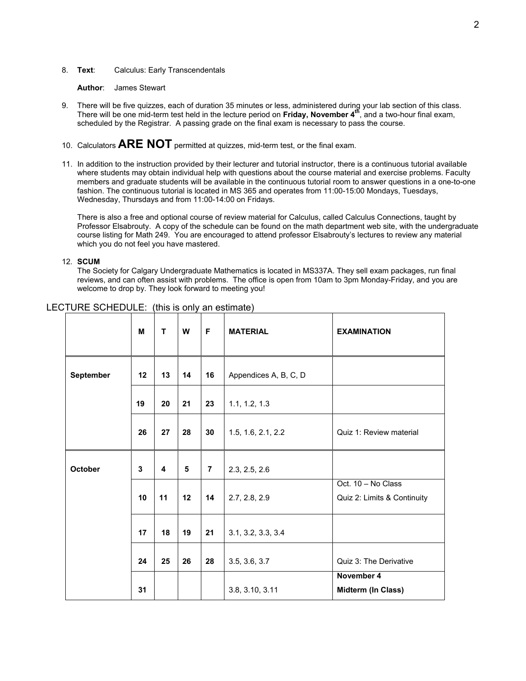## 8. **Text**: Calculus: Early Transcendentals

**Author**: James Stewart

- 9. There will be five quizzes, each of duration 35 minutes or less, administered during your lab section of this class. There will be one mid-term test held in the lecture period on **Friday, November 4th**, and a two-hour final exam, scheduled by the Registrar. A passing grade on the final exam is necessary to pass the course.
- 10. Calculators **ARE NOT** permitted at quizzes, mid-term test, or the final exam.
- 11. In addition to the instruction provided by their lecturer and tutorial instructor, there is a continuous tutorial available where students may obtain individual help with questions about the course material and exercise problems. Faculty members and graduate students will be available in the continuous tutorial room to answer questions in a one-to-one fashion. The continuous tutorial is located in MS 365 and operates from 11:00-15:00 Mondays, Tuesdays, Wednesday, Thursdays and from 11:00-14:00 on Fridays.

There is also a free and optional course of review material for Calculus, called Calculus Connections, taught by Professor Elsabrouty. A copy of the schedule can be found on the math department web site, with the undergraduate course listing for Math 249. You are encouraged to attend professor Elsabrouty's lectures to review any material which you do not feel you have mastered.

## 12. **SCUM**

The Society for Calgary Undergraduate Mathematics is located in MS337A. They sell exam packages, run final reviews, and can often assist with problems. The office is open from 10am to 3pm Monday-Friday, and you are welcome to drop by. They look forward to meeting you!

|           | M  | T  | W  | F              | <b>MATERIAL</b>       | <b>EXAMINATION</b>                                |
|-----------|----|----|----|----------------|-----------------------|---------------------------------------------------|
| September | 12 | 13 | 14 | 16             | Appendices A, B, C, D |                                                   |
|           | 19 | 20 | 21 | 23             | 1.1, 1.2, 1.3         |                                                   |
|           | 26 | 27 | 28 | 30             | 1.5, 1.6, 2.1, 2.2    | Quiz 1: Review material                           |
| October   | 3  | 4  | 5  | $\overline{7}$ | 2.3, 2.5, 2.6         |                                                   |
|           | 10 | 11 | 12 | 14             | 2.7, 2.8, 2.9         | Oct. 10 - No Class<br>Quiz 2: Limits & Continuity |
|           | 17 | 18 | 19 | 21             | 3.1, 3.2, 3.3, 3.4    |                                                   |
|           | 24 | 25 | 26 | 28             | 3.5, 3.6, 3.7         | Quiz 3: The Derivative                            |
|           | 31 |    |    |                | 3.8, 3.10, 3.11       | November 4<br><b>Midterm (In Class)</b>           |

## LECTURE SCHEDULE: (this is only an estimate)